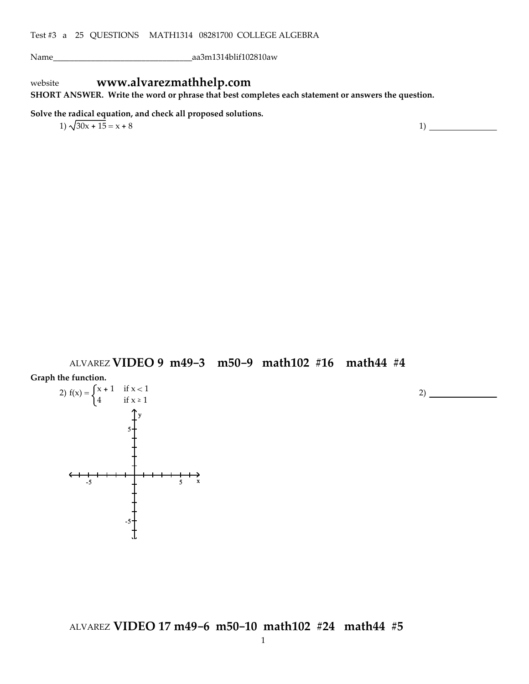Name\_\_\_\_\_\_\_\_\_\_\_\_\_\_\_\_\_\_\_\_\_\_\_\_\_\_\_\_\_\_\_\_\_aa3m1314blif102810aw

# website **www.alvarezmathhelp.com**

**SHORT ANSWER. Write the word or phrase that best completes each statement or answers the question.**

**Solve the radical equation, and check all proposed solutions.**

 $1)\sqrt{30x + 15} = x + 8$  1)

ALVAREZ **VIDEO 9 m49-3 m50-9 math102 #16 math44 #4**

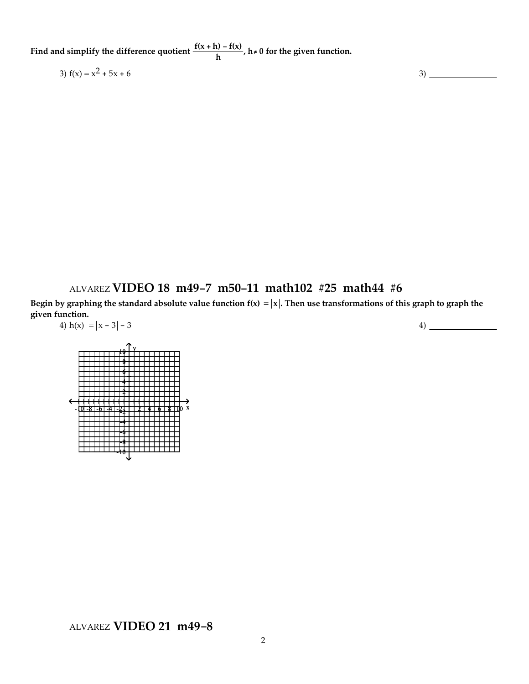**Find** and simplify the difference quotient  $\frac{f(x+h) - f(x)}{h}$ ,  $h \neq 0$  for the given function.

3)  $f(x) = x^2 + 5x + 6$  3)

## ALVAREZ **VIDEO 18 m49-7 m50-11 math102 #25 math44 #6**

Begin by graphing the standard absolute value function  $f(x) = |x|$ . Then use transformations of this graph to graph the **given function.** 4)  $h(x) = |x - 3| - 3$ 

-10 -8 -6 -4 -2 2 4 6 8 10 x <sup>y</sup> <sup>10</sup> 8 6 4 2 -2 -4 -6 -8 -10

4)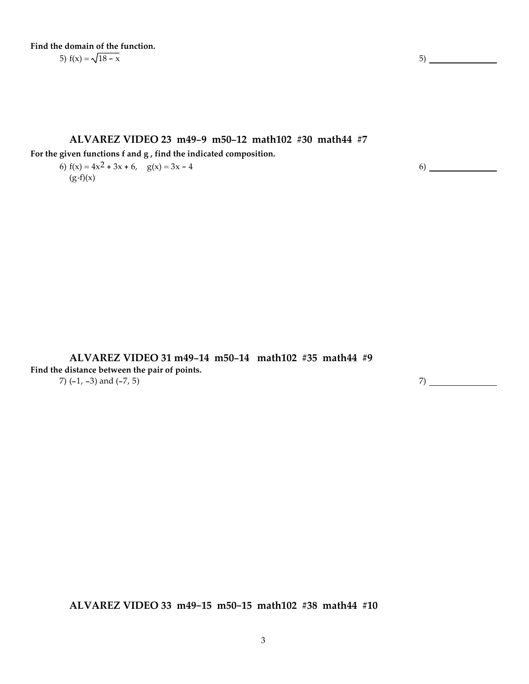**Find the domain of the function.** 5)  $f(x) = \sqrt{18 - x}$  5)

### **ALVAREZ VIDEO 23 m49-9 m50-12 math102 #30 math44 #7**

**For the given functions f and g , find the indicated composition.**

6)  $f(x) = 4x^2 + 3x + 6$ ,  $g(x) = 3x - 4$  $(g \cdot f)(x)$ 

6)

**ALVAREZ VIDEO 31 m49-14 m50-14 math102 #35 math44 #9 Find the distance between the pair of points.** 7)  $(-1, -3)$  and  $(-7, 5)$  7)

**ALVAREZ VIDEO 33 m49-15 m50-15 math102 #38 math44 #10**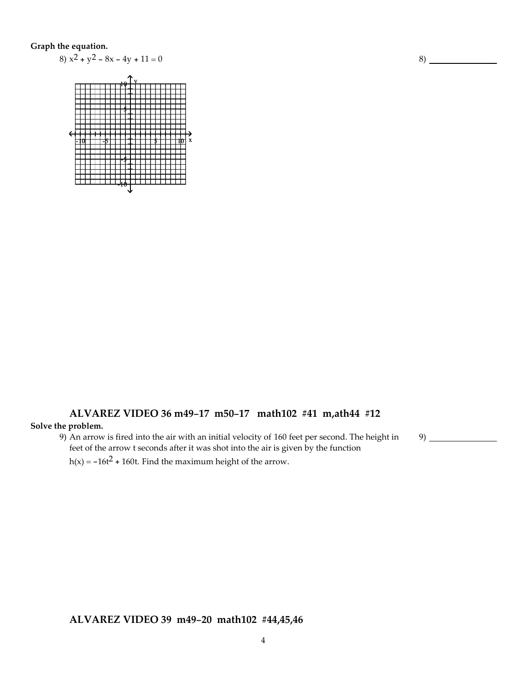### **Graph the equation.**



# **ALVAREZ VIDEO 36 m49-17 m50-17 math102 #41 m,ath44 #12**

## **Solve the problem.**

9) An arrow is fired into the air with an initial velocity of 160 feet per second. The height in feet of the arrow t seconds after it was shot into the air is given by the function

 $h(x) = -16t^2 + 160t$ . Find the maximum height of the arrow.

**ALVAREZ VIDEO 39 m49-20 math102 #44,45,46**

8)

9)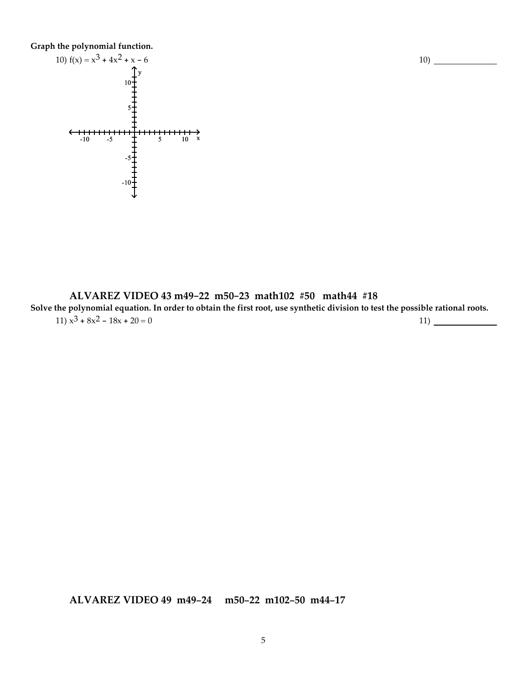**Graph the polynomial function.**



**ALVAREZ VIDEO 43 m49-22 m50-23 math102 #50 math44 #18** Solve the polynomial equation. In order to obtain the first root, use synthetic division to test the possible rational roots. 11)  $x^3 + 8x^2 - 18x + 20 = 0$  11)

**ALVAREZ VIDEO 49 m49-24 m50-22 m102-50 m44-17**

10)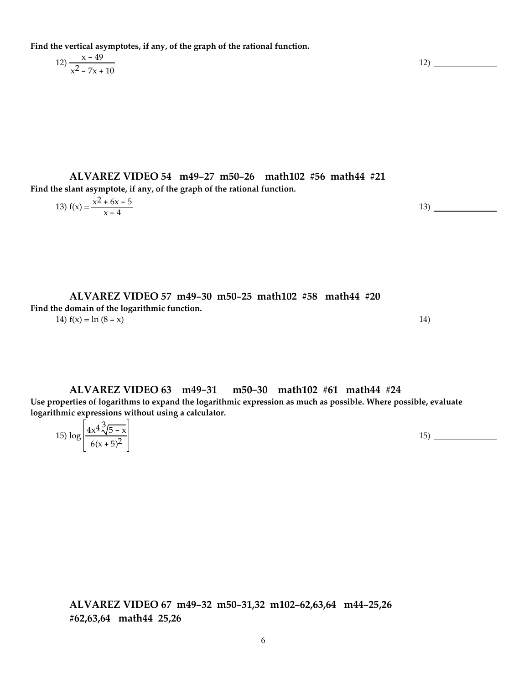**Find the vertical asymptotes, if any, of the graph of the rational function.**

$$
12) \frac{x - 49}{x^2 - 7x + 10}
$$

**ALVAREZ VIDEO 54 m49-27 m50-26 math102 #56 math44 #21 Find the slant asymptote, if any, of the graph of the rational function.**

13) 
$$
f(x) = \frac{x^2 + 6x - 5}{x - 4}
$$

12)

**ALVAREZ VIDEO 57 m49-30 m50-25 math102 #58 math44 #20 Find the domain of the logarithmic function.** 14)  $f(x) = \ln (8 - x)$  14)

**ALVAREZ VIDEO 63 m49-31 m50-30 math102 #61 math44 #24 Use properties of logarithms to expand the logarithmic expression as much as possible. Where possible, evaluate logarithmic expressions without using a calculator.**

| $\frac{4x^4}{\sqrt{5}}$<br>15) log<br>$\overline{\phantom{0}}$ | $\mathbf{v}$<br>$\lambda$<br>15<br>∸ |  |
|----------------------------------------------------------------|--------------------------------------|--|
| $6(x+5)^2$                                                     |                                      |  |

**ALVAREZ VIDEO 67 m49-32 m50-31,32 m102-62,63,64 m44-25,26 #62,63,64 math44 25,26**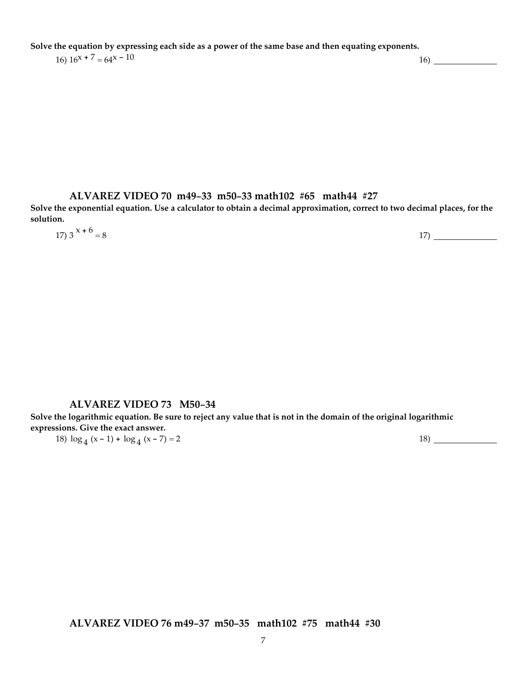Solve the equation by expressing each side as a power of the same base and then equating exponents.

## $16) 16^{x} + 7 = 64^{x} - 10$  16)  $\qquad 16)$

### **ALVAREZ VIDEO 70 m49-33 m50-33 math102 #65 math44 #27**

Solve the exponential equation. Use a calculator to obtain a decimal approximation, correct to two decimal places, for the **solution.**

| 17) $3^{x+6} = 8$ | 17) |
|-------------------|-----|

### **ALVAREZ VIDEO 73 M50-34**

Solve the logarithmic equation. Be sure to reject any value that is not in the domain of the original logarithmic **expressions. Give the exact answer.**

18)  $\log_4 (x-1) + \log_4 (x-7) = 2$  18)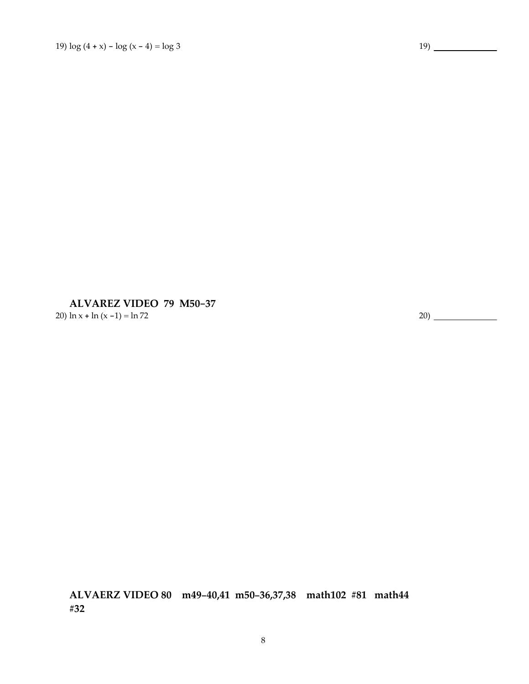**ALVAREZ VIDEO 79 M50-37** 20)  $\ln x + \ln (x - 1) = \ln 72$  20)

**ALVAERZ VIDEO 80 m49-40,41 m50-36,37,38 math102 #81 math44 #32**

8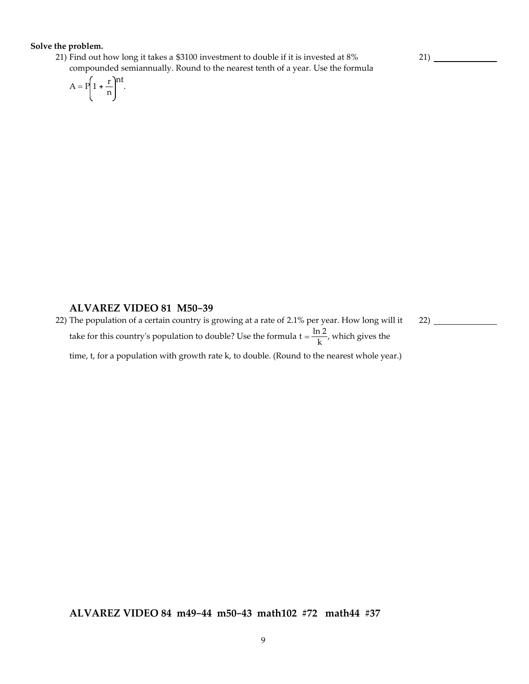### **Solve the problem.**

21) Find out how long it takes a \$3100 investment to double if it is invested at 8% compounded semiannually. Round to the nearest tenth of a year. Use the formula

$$
A = P\left(1 + \frac{r}{n}\right)^{nt}.
$$

### **ALVAREZ VIDEO 81 M50-39**

22) The population of a certain country is growing at a rate of 2.1% per year. How long will it take for this country's population to double? Use the formula  $t = \frac{\ln 2}{k}$ , which gives the time, t, for a population with growth rate k, to double. (Round to the nearest whole year.) 22)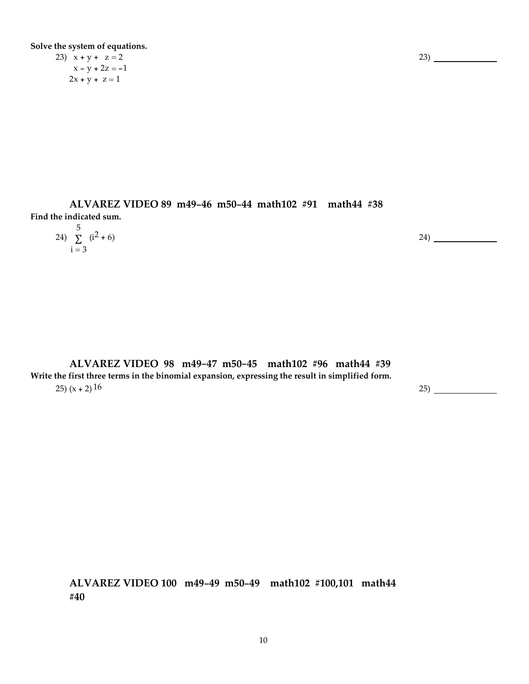**Solve the system of equations.**

23)  $x + y + z = 2$  $x - y + 2z = -1$  $2x + y + z = 1$ 

**ALVAREZ VIDEO 89 m49-46 m50-44 math102 #91 math44 #38 Find the indicated sum.**

| 24) $\sum_{1}^{5}$ (i <sup>2</sup> + 6) | 24) |
|-----------------------------------------|-----|
| $i = 3$                                 |     |

**ALVAREZ VIDEO 98 m49-47 m50-45 math102 #96 math44 #39 Write the first three terms in the binomial expansion, expressing the result in simplified form.**  $25)$  (x + 2)  $16$  25) 25

**ALVAREZ VIDEO 100 m49-49 m50-49 math102 #100,101 math44 #40**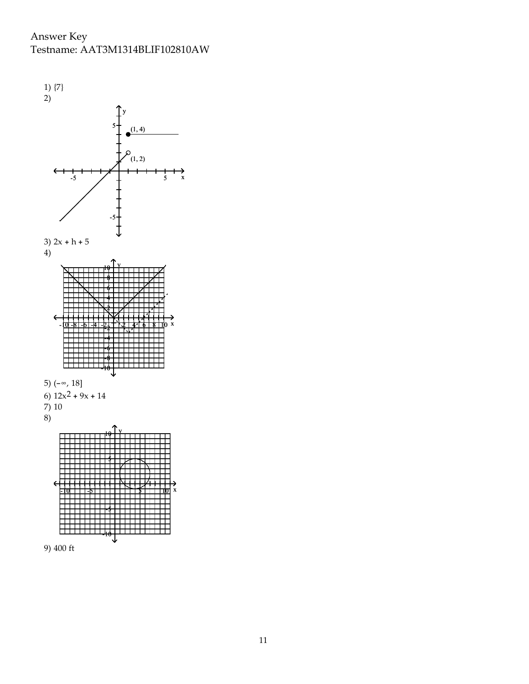Answer Key Testname: AAT3M1314BLIF102810AW